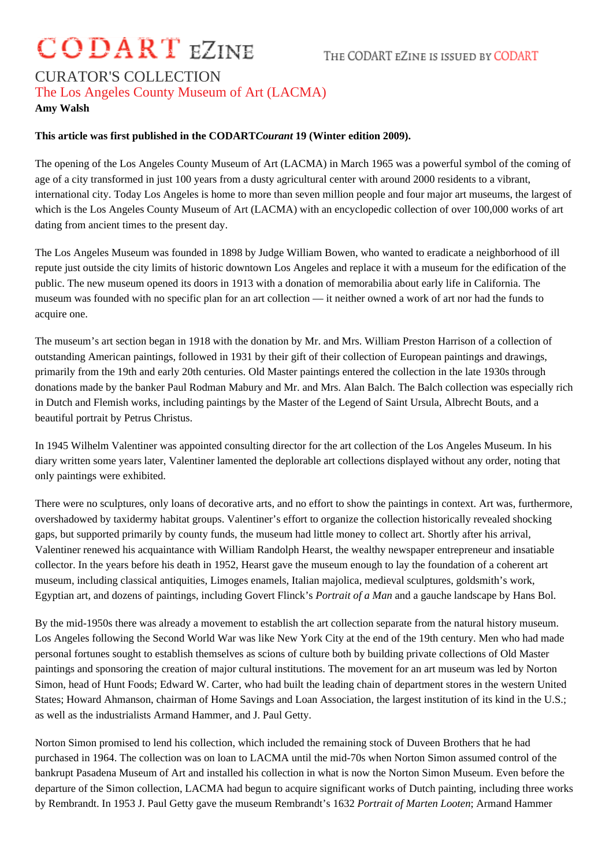# **CODART EZINE**

## CURATOR'S COLLECTION The Los Angeles County Museum of Art (LACMA)

#### **Amy Walsh**

### **This article was first published in the CODART***Courant* **19 (Winter edition 2009).**

The opening of the Los Angeles County Museum of Art (LACMA) in March 1965 was a powerful symbol of the coming of age of a city transformed in just 100 years from a dusty agricultural center with around 2000 residents to a vibrant, international city. Today Los Angeles is home to more than seven million people and four major art museums, the largest of which is the Los Angeles County Museum of Art (LACMA) with an encyclopedic collection of over 100,000 works of art dating from ancient times to the present day.

The Los Angeles Museum was founded in 1898 by Judge William Bowen, who wanted to eradicate a neighborhood of ill repute just outside the city limits of historic downtown Los Angeles and replace it with a museum for the edification of the public. The new museum opened its doors in 1913 with a donation of memorabilia about early life in California. The museum was founded with no specific plan for an art collection — it neither owned a work of art nor had the funds to acquire one.

The museum's art section began in 1918 with the donation by Mr. and Mrs. William Preston Harrison of a collection of outstanding American paintings, followed in 1931 by their gift of their collection of European paintings and drawings, primarily from the 19th and early 20th centuries. Old Master paintings entered the collection in the late 1930s through donations made by the banker Paul Rodman Mabury and Mr. and Mrs. Alan Balch. The Balch collection was especially rich in Dutch and Flemish works, including paintings by the Master of the Legend of Saint Ursula, Albrecht Bouts, and a beautiful portrait by Petrus Christus.

In 1945 Wilhelm Valentiner was appointed consulting director for the art collection of the Los Angeles Museum. In his diary written some years later, Valentiner lamented the deplorable art collections displayed without any order, noting that only paintings were exhibited.

There were no sculptures, only loans of decorative arts, and no effort to show the paintings in context. Art was, furthermore, overshadowed by taxidermy habitat groups. Valentiner's effort to organize the collection historically revealed shocking gaps, but supported primarily by county funds, the museum had little money to collect art. Shortly after his arrival, Valentiner renewed his acquaintance with William Randolph Hearst, the wealthy newspaper entrepreneur and insatiable collector. In the years before his death in 1952, Hearst gave the museum enough to lay the foundation of a coherent art museum, including classical antiquities, Limoges enamels, Italian majolica, medieval sculptures, goldsmith's work, Egyptian art, and dozens of paintings, including Govert Flinck's *Portrait of a Man* and a gauche landscape by Hans Bol.

By the mid-1950s there was already a movement to establish the art collection separate from the natural history museum. Los Angeles following the Second World War was like New York City at the end of the 19th century. Men who had made personal fortunes sought to establish themselves as scions of culture both by building private collections of Old Master paintings and sponsoring the creation of major cultural institutions. The movement for an art museum was led by Norton Simon, head of Hunt Foods; Edward W. Carter, who had built the leading chain of department stores in the western United States; Howard Ahmanson, chairman of Home Savings and Loan Association, the largest institution of its kind in the U.S.; as well as the industrialists Armand Hammer, and J. Paul Getty.

Norton Simon promised to lend his collection, which included the remaining stock of Duveen Brothers that he had purchased in 1964. The collection was on loan to LACMA until the mid-70s when Norton Simon assumed control of the bankrupt Pasadena Museum of Art and installed his collection in what is now the Norton Simon Museum. Even before the departure of the Simon collection, LACMA had begun to acquire significant works of Dutch painting, including three works by Rembrandt. In 1953 J. Paul Getty gave the museum Rembrandt's 1632 *Portrait of Marten Looten*; Armand Hammer